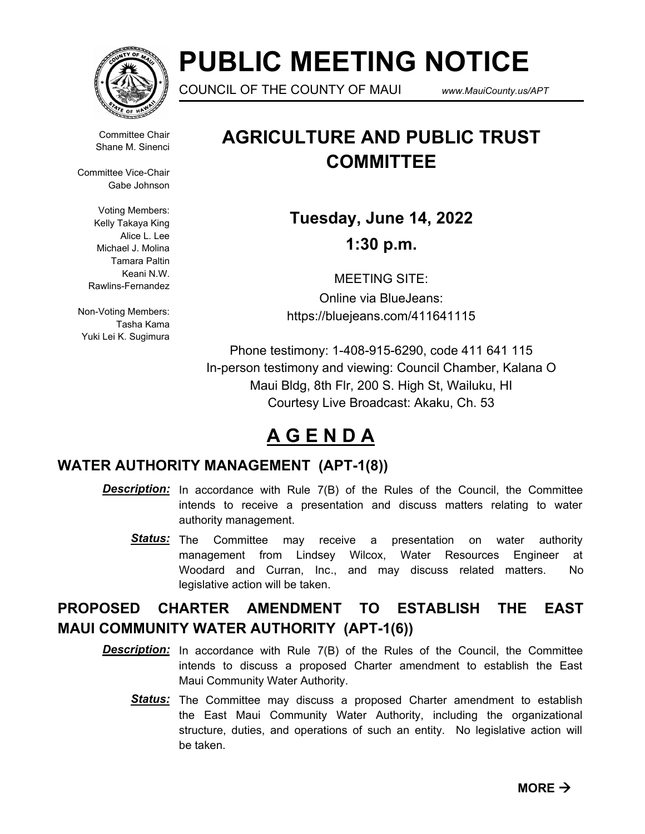

# **PUBLIC MEETING NOTICE**

COUNCIL OF THE COUNTY OF MAUI *www.MauiCounty.us/APT*

Committee Chair Shane M. Sinenci

Committee Vice-Chair Gabe Johnson

> Voting Members: Kelly Takaya King Alice L. Lee Michael J. Molina Tamara Paltin Keani N.W. Rawlins-Fernandez

Non-Voting Members: Tasha Kama Yuki Lei K. Sugimura

## **AGRICULTURE AND PUBLIC TRUST COMMITTEE**

**Tuesday, June 14, 2022 1:30 p.m.**

MEETING SITE: Online via BlueJeans: https://bluejeans.com/411641115

Phone testimony: 1-408-915-6290, code 411 641 115 In-person testimony and viewing: Council Chamber, Kalana O Maui Bldg, 8th Flr, 200 S. High St, Wailuku, HI Courtesy Live Broadcast: Akaku, Ch. 53

### **A G E N D A**

#### **WATER AUTHORITY MANAGEMENT (APT-1(8))**

- **Description:** In accordance with Rule 7(B) of the Rules of the Council, the Committee intends to receive a presentation and discuss matters relating to water authority management.
	- Status: The Committee may receive a presentation on water authority management from Lindsey Wilcox, Water Resources Engineer at Woodard and Curran, Inc., and may discuss related matters. No legislative action will be taken.

### **PROPOSED CHARTER AMENDMENT TO ESTABLISH THE EAST MAUI COMMUNITY WATER AUTHORITY (APT-1(6))**

- **Description:** In accordance with Rule 7(B) of the Rules of the Council, the Committee intends to discuss a proposed Charter amendment to establish the East Maui Community Water Authority.
	- Status: The Committee may discuss a proposed Charter amendment to establish the East Maui Community Water Authority, including the organizational structure, duties, and operations of such an entity. No legislative action will be taken.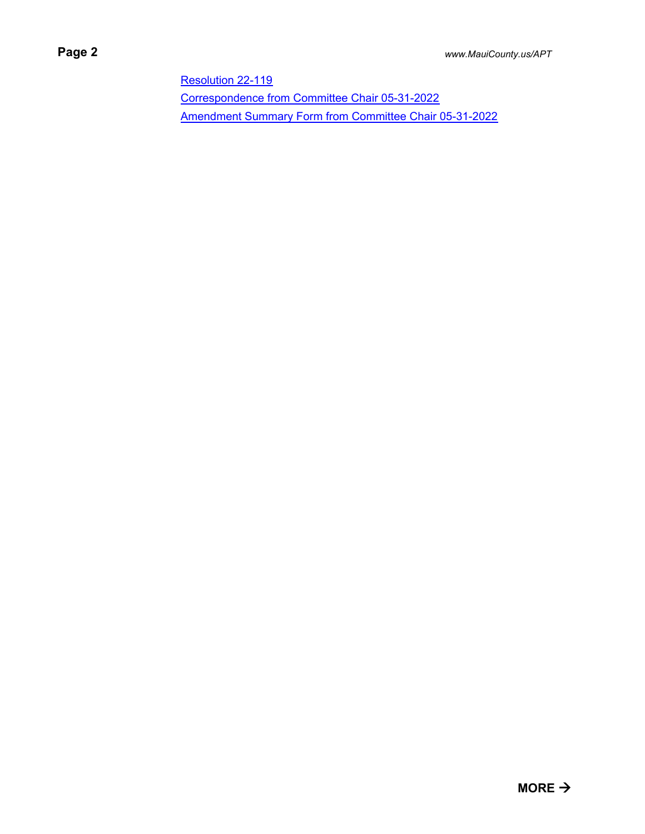[Resolution 22-119](http://mauicounty.legistar.com/gateway.aspx?M=F&ID=826d6d6f-b5a7-4aa1-bb4b-b5df9767e562.pdf) [Correspondence from Committee Chair 05-31-2022](http://mauicounty.legistar.com/gateway.aspx?M=F&ID=2be247df-fb66-4c2f-ae07-2616492d363b.pdf) [Amendment Summary Form from Committee Chair 05-31-2022](http://mauicounty.legistar.com/gateway.aspx?M=F&ID=48fa96b7-4da1-49e7-92cc-033e802617c4.pdf)